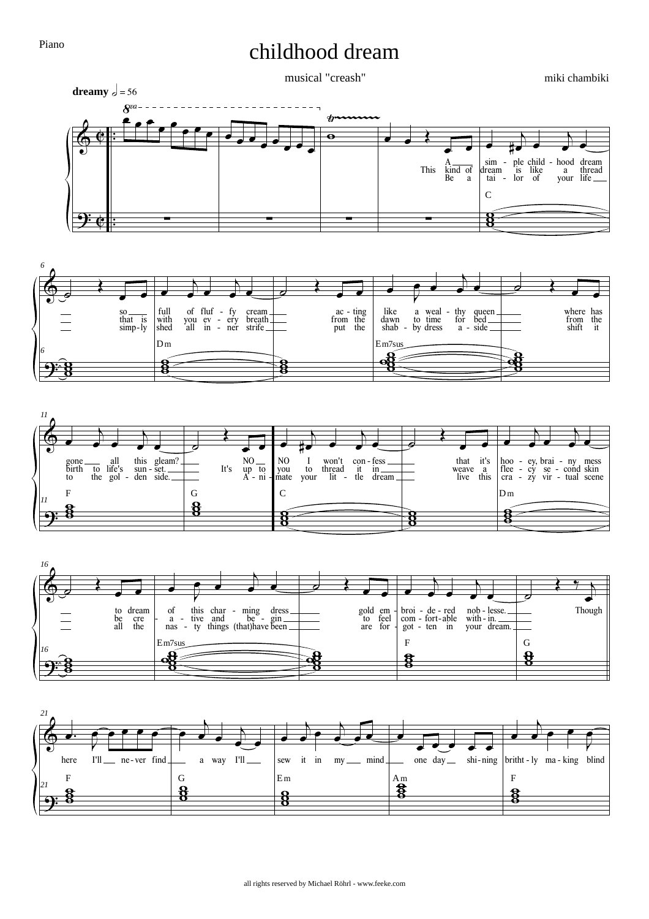## childhood dream

musical "creash"

miki chambiki